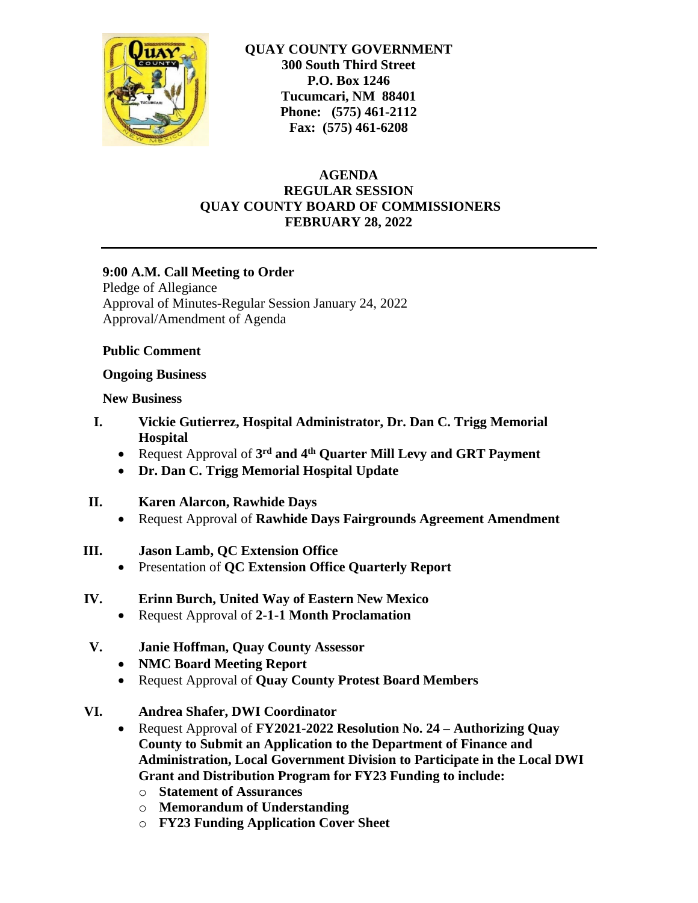

**QUAY COUNTY GOVERNMENT 300 South Third Street P.O. Box 1246 Tucumcari, NM 88401 Phone: (575) 461-2112 Fax: (575) 461-6208**

### **AGENDA REGULAR SESSION QUAY COUNTY BOARD OF COMMISSIONERS FEBRUARY 28, 2022**

### **9:00 A.M. Call Meeting to Order**

Pledge of Allegiance Approval of Minutes-Regular Session January 24, 2022 Approval/Amendment of Agenda

### **Public Comment**

#### **Ongoing Business**

### **New Business**

- **I. Vickie Gutierrez, Hospital Administrator, Dr. Dan C. Trigg Memorial Hospital**
	- Request Approval of **3 rd and 4th Quarter Mill Levy and GRT Payment**
	- **Dr. Dan C. Trigg Memorial Hospital Update**

### **II. Karen Alarcon, Rawhide Days**

- Request Approval of **Rawhide Days Fairgrounds Agreement Amendment**
- **III. Jason Lamb, QC Extension Office**
	- Presentation of **QC Extension Office Quarterly Report**
- **IV. Erinn Burch, United Way of Eastern New Mexico**
	- Request Approval of **2-1-1 Month Proclamation**
- **V. Janie Hoffman, Quay County Assessor**
	- **NMC Board Meeting Report**
	- Request Approval of **Quay County Protest Board Members**
- **VI. Andrea Shafer, DWI Coordinator**
	- Request Approval of **FY2021-2022 Resolution No. 24 – Authorizing Quay County to Submit an Application to the Department of Finance and Administration, Local Government Division to Participate in the Local DWI Grant and Distribution Program for FY23 Funding to include:**
		- o **Statement of Assurances**
		- o **Memorandum of Understanding**
		- o **FY23 Funding Application Cover Sheet**